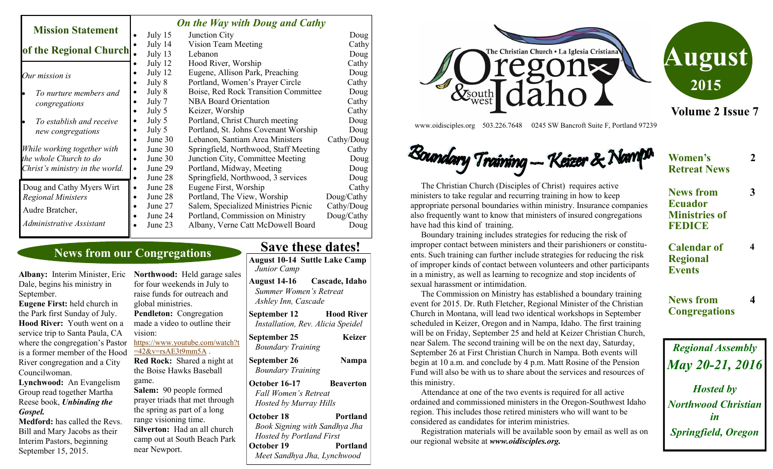|                                 |  | <b>On the Way with Doug and Cathy</b> |  |                                       |            |  |
|---------------------------------|--|---------------------------------------|--|---------------------------------------|------------|--|
| <b>Mission Statement</b>        |  | July 15                               |  | Junction City                         | Doug       |  |
|                                 |  | July 14                               |  | Vision Team Meeting                   | Cathy      |  |
| of the Regional Church.         |  | July 13                               |  | Lebanon                               | Doug       |  |
|                                 |  | July 12                               |  | Hood River, Worship                   | Cathy      |  |
| Our mission is                  |  | July 12                               |  | Eugene, Allison Park, Preaching       | Doug       |  |
|                                 |  | July 8                                |  | Portland, Women's Prayer Circle       | Cathy      |  |
| To nurture members and          |  | July 8                                |  | Boise, Red Rock Transition Committee  | Doug       |  |
| congregations                   |  | July 7                                |  | <b>NBA Board Orientation</b>          | Cathy      |  |
|                                 |  | July 5                                |  | Keizer, Worship                       | Cathy      |  |
| To establish and receive        |  | July 5                                |  | Portland, Christ Church meeting       | Doug       |  |
| new congregations               |  | July 5                                |  | Portland, St. Johns Covenant Worship  | Doug       |  |
|                                 |  | June 30                               |  | Lebanon, Santiam Area Ministers       | Cathy/Doug |  |
| While working together with     |  | June 30                               |  | Springfield, Northwood, Staff Meeting | Cathy      |  |
| the whole Church to do          |  | June 30                               |  | Junction City, Committee Meeting      | Doug       |  |
| Christ's ministry in the world. |  | June 29                               |  | Portland, Midway, Meeting             | Doug       |  |
|                                 |  | June 28                               |  | Springfield, Northwood, 3 services    | Doug       |  |
| Doug and Cathy Myers Wirt       |  | June 28                               |  | Eugene First, Worship                 | Cathy      |  |
| <b>Regional Ministers</b>       |  | June 28                               |  | Portland, The View, Worship           | Doug/Cathy |  |
| Audre Bratcher,                 |  | June 27                               |  | Salem, Specialized Ministries Picnic  | Cathy/Doug |  |
|                                 |  | June 24                               |  | Portland, Commission on Ministry      | Doug/Cathy |  |
| Administrative Assistant        |  | June 23                               |  | Albany, Verne Catt McDowell Board     | Doug       |  |

## **News from our Congregations**

**Albany:** Interim Minister, Eric Dale, begins his ministry in September.

**Eugene First:** held church in the Park first Sunday of July. **Hood River:** Youth went on a service trip to Santa Paula, CA where the congregation's Pastor is a former member of the Hood River congregation and a City Councilwoman.

**Lynchwood:** An Evangelism Group read together Martha Reese book, *Unbinding the Gospel.*

**Medford:** has called the Revs. Bill and Mary Jacobs as their Interim Pastors, beginning September 15, 2015.

**Northwood:** Held garage sales for four weekends in July to raise funds for outreach and global ministries. **Pendleton:** Congregation made a video to outline their vision: [https://www.youtube.com/watch?t](https://www.youtube.com/watch?t=42&v=rsAE3t9mm5A)  $=42&v=rsAE3t9mm5A$ . **Red Rock:** Shared a night at the Boise Hawks Baseball game. **Salem:** 90 people formed prayer triads that met through the spring as part of a long

range visioning time.

near Newport.

**Silverton:** Had an all church camp out at South Beach Park **Save these dates!** 

**August 10-14 Suttle Lake Camp** *Junior Camp* **August 14-16 Cascade, Idaho**   *Summer Women's Retreat*

 *Ashley Inn, Cascade*

**September 12 Hood River**  *Installation, Rev. Alicia Speidel*

**September 25 Keizer** *Boundary Training* 

**September 26 Nampa** *Boundary Training*

**October 16-17 Beaverton** *Fall Women's Retreat Hosted by Murray Hills*

**October 18** Portland *Book Signing with Sandhya Jha Hosted by Portland First* **October 19** Portland *Meet Sandhya Jha, Lynchwood*





**Volume 2 Issue 7**

**2**

**Women's Retreat News**

www.oidisciples.org 503.226.7648 0245 SW Bancroft Suite F, Portland 97239

# Boundary Training -- Keizer & Nav

 The Christian Church (Disciples of Christ) requires active ministers to take regular and recurring training in how to keep appropriate personal boundaries within ministry. Insurance companies also frequently want to know that ministers of insured congregations have had this kind of training.

 Boundary training includes strategies for reducing the risk of improper contact between ministers and their parishioners or constituents. Such training can further include strategies for reducing the risk of improper kinds of contact between volunteers and other participants in a ministry, as well as learning to recognize and stop incidents of sexual harassment or intimidation.

 The Commission on Ministry has established a boundary training event for 2015. Dr. Ruth Fletcher, Regional Minister of the Christian Church in Montana, will lead two identical workshops in September scheduled in Keizer, Oregon and in Nampa, Idaho. The first training will be on Friday, September 25 and held at Keizer Christian Church, near Salem. The second training will be on the next day, Saturday, September 26 at First Christian Church in Nampa. Both events will begin at 10 a.m. and conclude by 4 p.m. Matt Rosine of the Pension Fund will also be with us to share about the services and resources of this ministry.

 Attendance at one of the two events is required for all active ordained and commissioned ministers in the Oregon-Southwest Idaho region. This includes those retired ministers who will want to be considered as candidates for interim ministries.

 Registration materials will be available soon by email as well as on our regional website at *www.oidisciples.org.*

| <b>News from</b>         | К |  |  |  |
|--------------------------|---|--|--|--|
| <b>Ecuador</b>           |   |  |  |  |
| <b>Ministries of</b>     |   |  |  |  |
| <b>FEDICE</b>            |   |  |  |  |
| <b>Calendar of</b>       | 4 |  |  |  |
| <b>Regional</b>          |   |  |  |  |
| <b>Events</b>            |   |  |  |  |
| <b>News from</b>         | Δ |  |  |  |
| <b>Congregations</b>     |   |  |  |  |
|                          |   |  |  |  |
| <b>Regional Assembly</b> |   |  |  |  |

*May 20-21, 2016 Hosted by Northwood Christian in Springfield, Oregon*